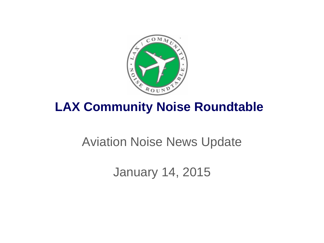

# **LAX Community Noise Roundtable**

# Aviation Noise News Update

January 14, 2015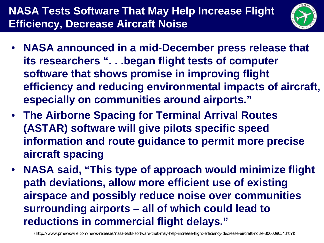### **NASA Tests Software That May Help Increase Flight Efficiency, Decrease Aircraft Noise**



- **NASA announced in a mid-December press release that its researchers ". . .began flight tests of computer software that shows promise in improving flight efficiency and reducing environmental impacts of aircraft, especially on communities around airports."**
- **The Airborne Spacing for Terminal Arrival Routes (ASTAR) software will give pilots specific speed information and route guidance to permit more precise aircraft spacing**
- **NASA said, "This type of approach would minimize flight path deviations, allow more efficient use of existing airspace and possibly reduce noise over communities surrounding airports – all of which could lead to reductions in commercial flight delays."**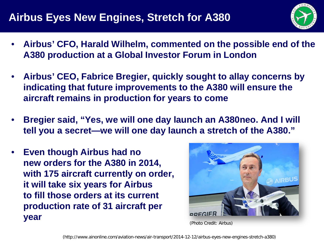#### **Airbus Eyes New Engines, Stretch for A380**



- **Airbus' CFO, Harald Wilhelm, commented on the possible end of the A380 production at a Global Investor Forum in London**
- **Airbus' CEO, Fabrice Bregier, quickly sought to allay concerns by indicating that future improvements to the A380 will ensure the aircraft remains in production for years to come**
- **Bregier said, "Yes, we will one day launch an A380neo. And I will tell you a secret—we will one day launch a stretch of the A380."**
- **Even though Airbus had no new orders for the A380 in 2014, with 175 aircraft currently on order, it will take six years for Airbus to fill those orders at its current production rate of 31 aircraft per year**



(Photo Credit: Airbus)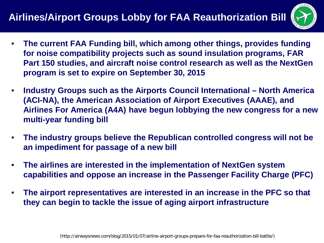

- **The current FAA Funding bill, which among other things, provides funding for noise compatibility projects such as sound insulation programs, FAR Part 150 studies, and aircraft noise control research as well as the NextGen program is set to expire on September 30, 2015**
- **Industry Groups such as the Airports Council International – North America (ACI-NA), the American Association of Airport Executives (AAAE), and Airlines For America (A4A) have begun lobbying the new congress for a new multi-year funding bill**
- **The industry groups believe the Republican controlled congress will not be an impediment for passage of a new bill**
- **The airlines are interested in the implementation of NextGen system capabilities and oppose an increase in the Passenger Facility Charge (PFC)**
- **The airport representatives are interested in an increase in the PFC so that they can begin to tackle the issue of aging airport infrastructure**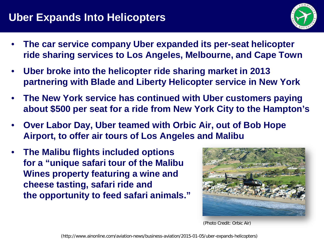#### **Uber Expands Into Helicopters**



- **The car service company Uber expanded its per-seat helicopter ride sharing services to Los Angeles, Melbourne, and Cape Town**
- **Uber broke into the helicopter ride sharing market in 2013 partnering with Blade and Liberty Helicopter service in New York**
- **The New York service has continued with Uber customers paying about \$500 per seat for a ride from New York City to the Hampton's**
- **Over Labor Day, Uber teamed with Orbic Air, out of Bob Hope Airport, to offer air tours of Los Angeles and Malibu**
- **The Malibu flights included options for a "unique safari tour of the Malibu Wines property featuring a wine and cheese tasting, safari ride and the opportunity to feed safari animals."**



[\(Photo Credit: Orbic](http://orbicair.com/images/F28562787.jpg) Air)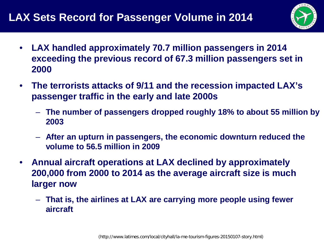

- **LAX handled approximately 70.7 million passengers in 2014 exceeding the previous record of 67.3 million passengers set in 2000**
- **The terrorists attacks of 9/11 and the recession impacted LAX's passenger traffic in the early and late 2000s**
	- **The number of passengers dropped roughly 18% to about 55 million by 2003**
	- **After an upturn in passengers, the economic downturn reduced the volume to 56.5 million in 2009**
- **Annual aircraft operations at LAX declined by approximately 200,000 from 2000 to 2014 as the average aircraft size is much larger now**
	- **That is, the airlines at LAX are carrying more people using fewer aircraft**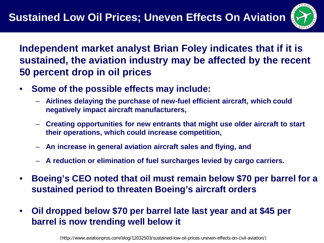

**Independent market analyst Brian Foley indicates that if it is sustained, the aviation industry may be affected by the recent 50 percent drop in oil prices**

- **Some of the possible effects may include:**
	- **Airlines delaying the purchase of new-fuel efficient aircraft, which could negatively impact aircraft manufacturers,**
	- **Creating opportunities for new entrants that might use older aircraft to start their operations, which could increase competition,**
	- **An increase in general aviation aircraft sales and flying, and**
	- **A reduction or elimination of fuel surcharges levied by cargo carriers.**
- **Boeing's CEO noted that oil must remain below \$70 per barrel for a sustained period to threaten Boeing's aircraft orders**
- **Oil dropped below \$70 per barrel late last year and at \$45 per barrel is now trending well below it**

(http://www.aviationpros.com/blog/12032503/sustained-low-oil-prices-uneven-effects-on-civil-aviation/)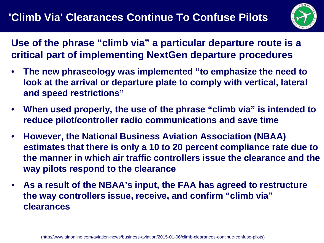

**Use of the phrase "climb via" a particular departure route is a critical part of implementing NextGen departure procedures**

- **The new phraseology was implemented "to emphasize the need to look at the arrival or departure plate to comply with vertical, lateral and speed restrictions"**
- **When used properly, the use of the phrase "climb via" is intended to reduce pilot/controller radio communications and save time**
- **However, the National Business Aviation Association (NBAA) estimates that there is only a 10 to 20 percent compliance rate due to the manner in which air traffic controllers issue the clearance and the way pilots respond to the clearance**
- **As a result of the NBAA's input, the FAA has agreed to restructure the way controllers issue, receive, and confirm "climb via" clearances**